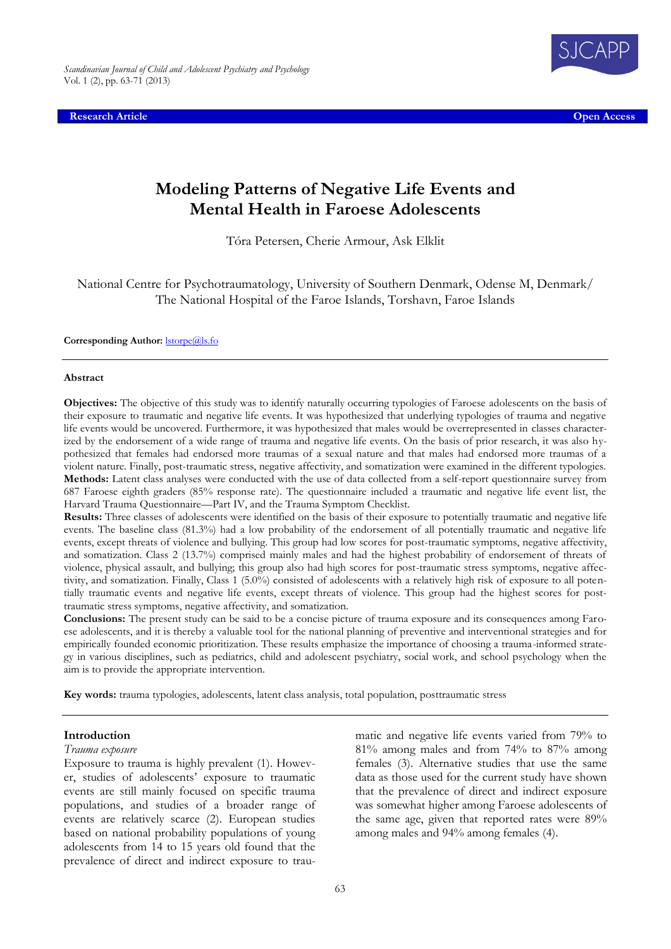**Research Article Open Access**



# **Modeling Patterns of Negative Life Events and Mental Health in Faroese Adolescents**

Tóra Petersen, Cherie Armour, Ask Elklit

National Centre for Psychotraumatology, University of Southern Denmark, Odense M, Denmark/ The National Hospital of the Faroe Islands, Torshavn, Faroe Islands

Corresponding Author: *storpe@ls.fo* 

#### **Abstract**

**Objectives:** The objective of this study was to identify naturally occurring typologies of Faroese adolescents on the basis of their exposure to traumatic and negative life events. It was hypothesized that underlying typologies of trauma and negative life events would be uncovered. Furthermore, it was hypothesized that males would be overrepresented in classes characterized by the endorsement of a wide range of trauma and negative life events. On the basis of prior research, it was also hypothesized that females had endorsed more traumas of a sexual nature and that males had endorsed more traumas of a violent nature. Finally, post-traumatic stress, negative affectivity, and somatization were examined in the different typologies. **Methods:** Latent class analyses were conducted with the use of data collected from a self-report questionnaire survey from 687 Faroese eighth graders (85% response rate). The questionnaire included a traumatic and negative life event list, the Harvard Trauma Questionnaire—Part IV, and the Trauma Symptom Checklist.

**Results:** Three classes of adolescents were identified on the basis of their exposure to potentially traumatic and negative life events. The baseline class (81.3%) had a low probability of the endorsement of all potentially traumatic and negative life events, except threats of violence and bullying. This group had low scores for post-traumatic symptoms, negative affectivity, and somatization. Class 2 (13.7%) comprised mainly males and had the highest probability of endorsement of threats of violence, physical assault, and bullying; this group also had high scores for post-traumatic stress symptoms, negative affectivity, and somatization. Finally, Class 1 (5.0%) consisted of adolescents with a relatively high risk of exposure to all potentially traumatic events and negative life events, except threats of violence. This group had the highest scores for posttraumatic stress symptoms, negative affectivity, and somatization.

**Conclusions:** The present study can be said to be a concise picture of trauma exposure and its consequences among Faroese adolescents, and it is thereby a valuable tool for the national planning of preventive and interventional strategies and for empirically founded economic prioritization. These results emphasize the importance of choosing a trauma-informed strategy in various disciplines, such as pediatrics, child and adolescent psychiatry, social work, and school psychology when the aim is to provide the appropriate intervention.

**Key words:** trauma typologies, adolescents, latent class analysis, total population, posttraumatic stress

#### **Introduction**

#### *Trauma exposure*

Exposure to trauma is highly prevalent (1). However, studies of adolescents' exposure to traumatic events are still mainly focused on specific trauma populations, and studies of a broader range of events are relatively scarce (2). European studies based on national probability populations of young adolescents from 14 to 15 years old found that the prevalence of direct and indirect exposure to traumatic and negative life events varied from 79% to 81% among males and from 74% to 87% among females (3). Alternative studies that use the same data as those used for the current study have shown that the prevalence of direct and indirect exposure was somewhat higher among Faroese adolescents of the same age, given that reported rates were 89% among males and 94% among females (4).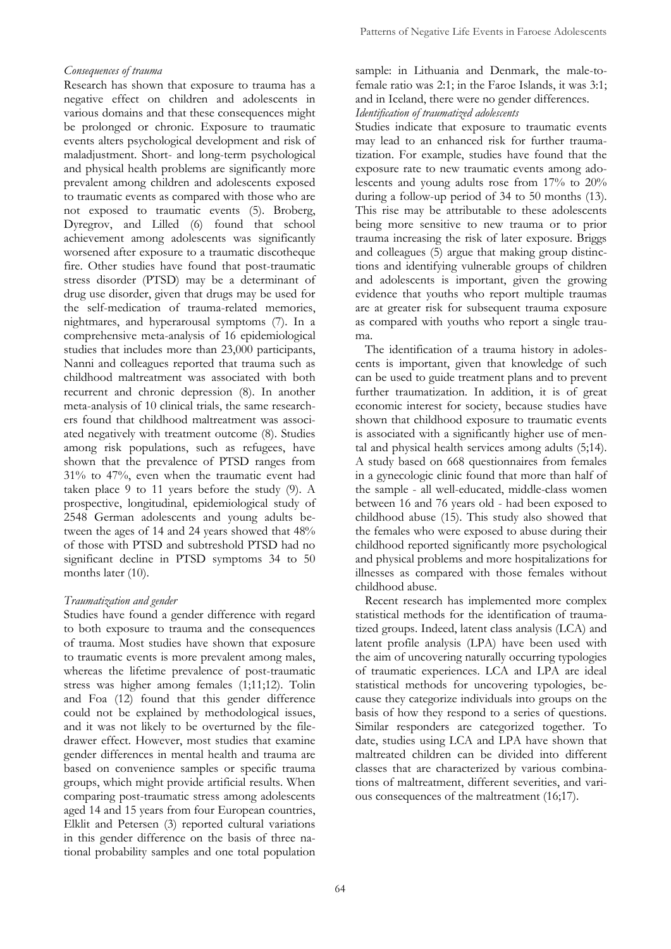## *Consequences of trauma*

Research has shown that exposure to trauma has a negative effect on children and adolescents in various domains and that these consequences might be prolonged or chronic. Exposure to traumatic events alters psychological development and risk of maladjustment. Short- and long-term psychological and physical health problems are significantly more prevalent among children and adolescents exposed to traumatic events as compared with those who are not exposed to traumatic events (5). Broberg, Dyregrov, and Lilled (6) found that school achievement among adolescents was significantly worsened after exposure to a traumatic discotheque fire. Other studies have found that post-traumatic stress disorder (PTSD) may be a determinant of drug use disorder, given that drugs may be used for the self-medication of trauma-related memories, nightmares, and hyperarousal symptoms (7). In a comprehensive meta-analysis of 16 epidemiological studies that includes more than 23,000 participants, Nanni and colleagues reported that trauma such as childhood maltreatment was associated with both recurrent and chronic depression (8). In another meta-analysis of 10 clinical trials, the same researchers found that childhood maltreatment was associated negatively with treatment outcome (8). Studies among risk populations, such as refugees, have shown that the prevalence of PTSD ranges from 31% to 47%, even when the traumatic event had taken place 9 to 11 years before the study (9). A prospective, longitudinal, epidemiological study of 2548 German adolescents and young adults between the ages of 14 and 24 years showed that 48% of those with PTSD and subtreshold PTSD had no significant decline in PTSD symptoms 34 to 50 months later (10).

### *Traumatization and gender*

Studies have found a gender difference with regard to both exposure to trauma and the consequences of trauma. Most studies have shown that exposure to traumatic events is more prevalent among males, whereas the lifetime prevalence of post-traumatic stress was higher among females (1;11;12). Tolin and Foa (12) found that this gender difference could not be explained by methodological issues, and it was not likely to be overturned by the filedrawer effect. However, most studies that examine gender differences in mental health and trauma are based on convenience samples or specific trauma groups, which might provide artificial results. When comparing post-traumatic stress among adolescents aged 14 and 15 years from four European countries, Elklit and Petersen (3) reported cultural variations in this gender difference on the basis of three national probability samples and one total population

sample: in Lithuania and Denmark, the male-tofemale ratio was 2:1; in the Faroe Islands, it was 3:1; and in Iceland, there were no gender differences. *Identification of traumatized adolescents*

Studies indicate that exposure to traumatic events may lead to an enhanced risk for further traumatization. For example, studies have found that the exposure rate to new traumatic events among adolescents and young adults rose from 17% to 20% during a follow-up period of 34 to 50 months (13). This rise may be attributable to these adolescents being more sensitive to new trauma or to prior trauma increasing the risk of later exposure. Briggs and colleagues (5) argue that making group distinctions and identifying vulnerable groups of children and adolescents is important, given the growing evidence that youths who report multiple traumas are at greater risk for subsequent trauma exposure as compared with youths who report a single trauma.

The identification of a trauma history in adolescents is important, given that knowledge of such can be used to guide treatment plans and to prevent further traumatization. In addition, it is of great economic interest for society, because studies have shown that childhood exposure to traumatic events is associated with a significantly higher use of mental and physical health services among adults (5;14). A study based on 668 questionnaires from females in a gynecologic clinic found that more than half of the sample - all well-educated, middle-class women between 16 and 76 years old - had been exposed to childhood abuse (15). This study also showed that the females who were exposed to abuse during their childhood reported significantly more psychological and physical problems and more hospitalizations for illnesses as compared with those females without childhood abuse.

Recent research has implemented more complex statistical methods for the identification of traumatized groups. Indeed, latent class analysis (LCA) and latent profile analysis (LPA) have been used with the aim of uncovering naturally occurring typologies of traumatic experiences. LCA and LPA are ideal statistical methods for uncovering typologies, because they categorize individuals into groups on the basis of how they respond to a series of questions. Similar responders are categorized together. To date, studies using LCA and LPA have shown that maltreated children can be divided into different classes that are characterized by various combinations of maltreatment, different severities, and various consequences of the maltreatment (16;17).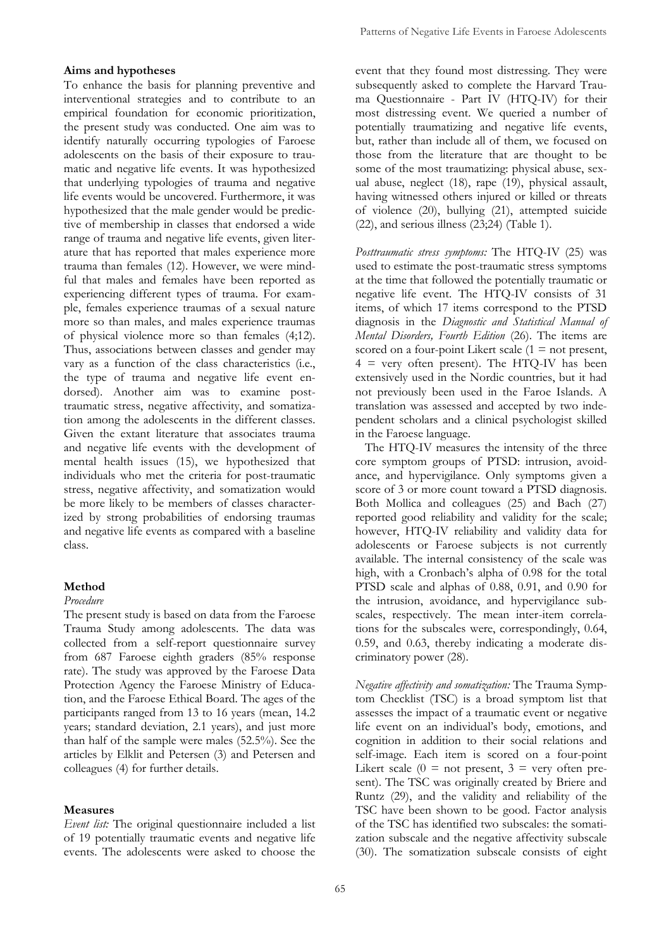## **Aims and hypotheses**

To enhance the basis for planning preventive and interventional strategies and to contribute to an empirical foundation for economic prioritization, the present study was conducted. One aim was to identify naturally occurring typologies of Faroese adolescents on the basis of their exposure to traumatic and negative life events. It was hypothesized that underlying typologies of trauma and negative life events would be uncovered. Furthermore, it was hypothesized that the male gender would be predictive of membership in classes that endorsed a wide range of trauma and negative life events, given literature that has reported that males experience more trauma than females (12). However, we were mindful that males and females have been reported as experiencing different types of trauma. For example, females experience traumas of a sexual nature more so than males, and males experience traumas of physical violence more so than females (4;12). Thus, associations between classes and gender may vary as a function of the class characteristics (i.e., the type of trauma and negative life event endorsed). Another aim was to examine posttraumatic stress, negative affectivity, and somatization among the adolescents in the different classes. Given the extant literature that associates trauma and negative life events with the development of mental health issues (15), we hypothesized that individuals who met the criteria for post-traumatic stress, negative affectivity, and somatization would be more likely to be members of classes characterized by strong probabilities of endorsing traumas and negative life events as compared with a baseline class.

## **Method**

#### *Procedure*

The present study is based on data from the Faroese Trauma Study among adolescents. The data was collected from a self-report questionnaire survey from 687 Faroese eighth graders (85% response rate). The study was approved by the Faroese Data Protection Agency the Faroese Ministry of Education, and the Faroese Ethical Board. The ages of the participants ranged from 13 to 16 years (mean, 14.2 years; standard deviation, 2.1 years), and just more than half of the sample were males (52.5%). See the articles by Elklit and Petersen (3) and Petersen and colleagues (4) for further details.

## **Measures**

*Event list:* The original questionnaire included a list of 19 potentially traumatic events and negative life events. The adolescents were asked to choose the event that they found most distressing. They were subsequently asked to complete the Harvard Trauma Questionnaire - Part IV (HTQ-IV) for their most distressing event. We queried a number of potentially traumatizing and negative life events, but, rather than include all of them, we focused on those from the literature that are thought to be some of the most traumatizing: physical abuse, sexual abuse, neglect (18), rape (19), physical assault, having witnessed others injured or killed or threats of violence (20), bullying (21), attempted suicide  $(22)$ , and serious illness  $(23;24)$  (Table 1).

*Posttraumatic stress symptoms:* The HTQ-IV (25) was used to estimate the post-traumatic stress symptoms at the time that followed the potentially traumatic or negative life event. The HTQ-IV consists of 31 items, of which 17 items correspond to the PTSD diagnosis in the *Diagnostic and Statistical Manual of Mental Disorders, Fourth Edition* (26). The items are scored on a four-point Likert scale  $(1 = not present,$  $4 =$  very often present). The HTQ-IV has been extensively used in the Nordic countries, but it had not previously been used in the Faroe Islands. A translation was assessed and accepted by two independent scholars and a clinical psychologist skilled in the Faroese language.

The HTQ-IV measures the intensity of the three core symptom groups of PTSD: intrusion, avoidance, and hypervigilance. Only symptoms given a score of 3 or more count toward a PTSD diagnosis. Both Mollica and colleagues (25) and Bach (27) reported good reliability and validity for the scale; however, HTQ-IV reliability and validity data for adolescents or Faroese subjects is not currently available. The internal consistency of the scale was high, with a Cronbach's alpha of 0.98 for the total PTSD scale and alphas of 0.88, 0.91, and 0.90 for the intrusion, avoidance, and hypervigilance subscales, respectively. The mean inter-item correlations for the subscales were, correspondingly, 0.64, 0.59, and 0.63, thereby indicating a moderate discriminatory power (28).

*Negative affectivity and somatization:* The Trauma Symptom Checklist (TSC) is a broad symptom list that assesses the impact of a traumatic event or negative life event on an individual's body, emotions, and cognition in addition to their social relations and self-image. Each item is scored on a four-point Likert scale  $(0 = not present, 3 = very often pre$ sent). The TSC was originally created by Briere and Runtz (29), and the validity and reliability of the TSC have been shown to be good. Factor analysis of the TSC has identified two subscales: the somatization subscale and the negative affectivity subscale (30). The somatization subscale consists of eight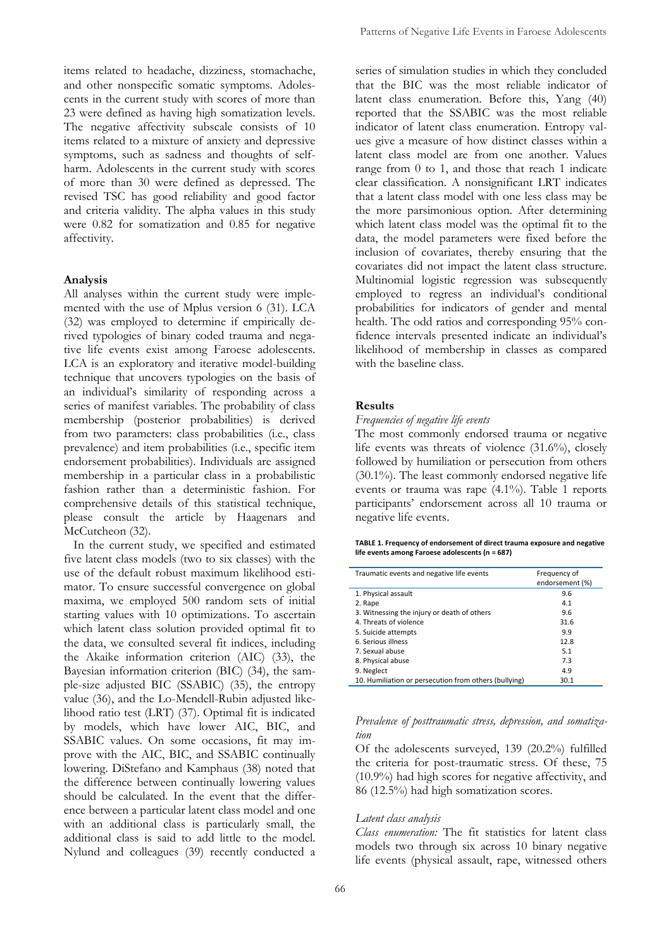items related to headache, dizziness, stomachache, and other nonspecific somatic symptoms. Adolescents in the current study with scores of more than 23 were defined as having high somatization levels. The negative affectivity subscale consists of 10 items related to a mixture of anxiety and depressive symptoms, such as sadness and thoughts of selfharm. Adolescents in the current study with scores of more than 30 were defined as depressed. The revised TSC has good reliability and good factor and criteria validity. The alpha values in this study were 0.82 for somatization and 0.85 for negative affectivity.

#### **Analysis**

All analyses within the current study were implemented with the use of Mplus version 6 (31). LCA (32) was employed to determine if empirically derived typologies of binary coded trauma and negative life events exist among Faroese adolescents. LCA is an exploratory and iterative model-building technique that uncovers typologies on the basis of an individual's similarity of responding across a series of manifest variables. The probability of class membership (posterior probabilities) is derived from two parameters: class probabilities (i.e., class prevalence) and item probabilities (i.e., specific item endorsement probabilities). Individuals are assigned membership in a particular class in a probabilistic fashion rather than a deterministic fashion. For comprehensive details of this statistical technique, please consult the article by Haagenars and McCutcheon (32).

In the current study, we specified and estimated five latent class models (two to six classes) with the use of the default robust maximum likelihood estimator. To ensure successful convergence on global maxima, we employed 500 random sets of initial starting values with 10 optimizations. To ascertain which latent class solution provided optimal fit to the data, we consulted several fit indices, including the Akaike information criterion (AIC) (33), the Bayesian information criterion (BIC) (34), the sample-size adjusted BIC (SSABIC) (35), the entropy value (36), and the Lo-Mendell-Rubin adjusted likelihood ratio test (LRT) (37). Optimal fit is indicated by models, which have lower AIC, BIC, and SSABIC values. On some occasions, fit may improve with the AIC, BIC, and SSABIC continually lowering. DiStefano and Kamphaus (38) noted that the difference between continually lowering values should be calculated. In the event that the difference between a particular latent class model and one with an additional class is particularly small, the additional class is said to add little to the model. Nylund and colleagues (39) recently conducted a series of simulation studies in which they concluded that the BIC was the most reliable indicator of latent class enumeration. Before this, Yang (40) reported that the SSABIC was the most reliable indicator of latent class enumeration. Entropy values give a measure of how distinct classes within a latent class model are from one another. Values range from 0 to 1, and those that reach 1 indicate clear classification. A nonsignificant LRT indicates that a latent class model with one less class may be the more parsimonious option. After determining which latent class model was the optimal fit to the data, the model parameters were fixed before the inclusion of covariates, thereby ensuring that the covariates did not impact the latent class structure. Multinomial logistic regression was subsequently employed to regress an individual's conditional probabilities for indicators of gender and mental health. The odd ratios and corresponding 95% confidence intervals presented indicate an individual's likelihood of membership in classes as compared with the baseline class.

#### **Results**

#### *Frequencies of negative life events*

The most commonly endorsed trauma or negative life events was threats of violence (31.6%), closely followed by humiliation or persecution from others (30.1%). The least commonly endorsed negative life events or trauma was rape (4.1%). Table 1 reports participants' endorsement across all 10 trauma or negative life events.

| TABLE 1. Frequency of endorsement of direct trauma exposure and negative |  |
|--------------------------------------------------------------------------|--|
| life events among Faroese adolescents (n = 687)                          |  |

| Traumatic events and negative life events             | Frequency of<br>endorsement (%) |
|-------------------------------------------------------|---------------------------------|
| 1. Physical assault                                   | 9.6                             |
| 2. Rape                                               | 4.1                             |
| 3. Witnessing the injury or death of others           | 9.6                             |
| 4. Threats of violence                                | 31.6                            |
| 5. Suicide attempts                                   | 9.9                             |
| 6. Serious illness                                    | 12.8                            |
| 7. Sexual abuse                                       | 5.1                             |
| 8. Physical abuse                                     | 7.3                             |
| 9. Neglect                                            | 4.9                             |
| 10. Humiliation or persecution from others (bullying) | 30.1                            |

*Prevalence of posttraumatic stress, depression, and somatization*

Of the adolescents surveyed, 139 (20.2%) fulfilled the criteria for post-traumatic stress. Of these, 75 (10.9%) had high scores for negative affectivity, and 86 (12.5%) had high somatization scores.

#### *Latent class analysis*

*Class enumeration:* The fit statistics for latent class models two through six across 10 binary negative life events (physical assault, rape, witnessed others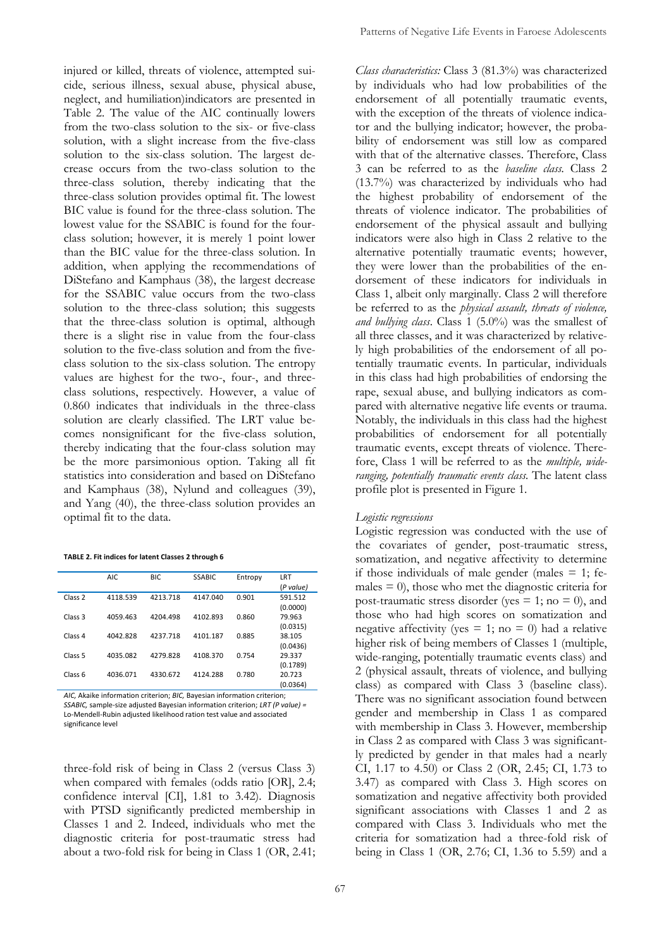injured or killed, threats of violence, attempted suicide, serious illness, sexual abuse, physical abuse, neglect, and humiliation)indicators are presented in Table 2. The value of the AIC continually lowers from the two-class solution to the six- or five-class solution, with a slight increase from the five-class solution to the six-class solution. The largest decrease occurs from the two-class solution to the three-class solution, thereby indicating that the three-class solution provides optimal fit. The lowest BIC value is found for the three-class solution. The lowest value for the SSABIC is found for the fourclass solution; however, it is merely 1 point lower than the BIC value for the three-class solution. In addition, when applying the recommendations of DiStefano and Kamphaus (38), the largest decrease for the SSABIC value occurs from the two-class solution to the three-class solution; this suggests that the three-class solution is optimal, although there is a slight rise in value from the four-class solution to the five-class solution and from the fiveclass solution to the six-class solution. The entropy values are highest for the two-, four-, and threeclass solutions, respectively. However, a value of 0.860 indicates that individuals in the three-class solution are clearly classified. The LRT value becomes nonsignificant for the five-class solution, thereby indicating that the four-class solution may be the more parsimonious option. Taking all fit statistics into consideration and based on DiStefano and Kamphaus (38), Nylund and colleagues (39), and Yang (40), the three-class solution provides an optimal fit to the data.

| TABLE 2. Fit indices for latent Classes 2 through 6 |  |
|-----------------------------------------------------|--|
|-----------------------------------------------------|--|

|                    | AIC      | <b>BIC</b> | <b>SSABIC</b> | Entropy | LRT       |
|--------------------|----------|------------|---------------|---------|-----------|
|                    |          |            |               |         | (P value) |
| Class <sub>2</sub> | 4118.539 | 4213.718   | 4147.040      | 0.901   | 591.512   |
|                    |          |            |               |         | (0.0000)  |
| Class <sub>3</sub> | 4059.463 | 4204.498   | 4102.893      | 0.860   | 79.963    |
|                    |          |            |               |         | (0.0315)  |
| Class <sub>4</sub> | 4042.828 | 4237.718   | 4101.187      | 0.885   | 38.105    |
|                    |          |            |               |         | (0.0436)  |
| Class <sub>5</sub> | 4035.082 | 4279.828   | 4108.370      | 0.754   | 29.337    |
|                    |          |            |               |         | (0.1789)  |
| Class 6            | 4036.071 | 4330.672   | 4124.288      | 0.780   | 20.723    |
|                    |          |            |               |         | (0.0364)  |

*AIC,* Akaike information criterion; *BIC,* Bayesian information criterion; *SSABIC,* sample-size adjusted Bayesian information criterion; *LRT (P value) =* Lo-Mendell-Rubin adjusted likelihood ration test value and associated significance level

three-fold risk of being in Class 2 (versus Class 3) when compared with females (odds ratio [OR], 2.4; confidence interval [CI], 1.81 to 3.42). Diagnosis with PTSD significantly predicted membership in Classes 1 and 2. Indeed, individuals who met the diagnostic criteria for post-traumatic stress had about a two-fold risk for being in Class 1 (OR, 2.41;

*Class characteristics:* Class 3 (81.3%) was characterized by individuals who had low probabilities of the endorsement of all potentially traumatic events, with the exception of the threats of violence indicator and the bullying indicator; however, the probability of endorsement was still low as compared with that of the alternative classes. Therefore, Class 3 can be referred to as the *baseline class.* Class 2 (13.7%) was characterized by individuals who had the highest probability of endorsement of the threats of violence indicator. The probabilities of endorsement of the physical assault and bullying indicators were also high in Class 2 relative to the alternative potentially traumatic events; however, they were lower than the probabilities of the endorsement of these indicators for individuals in Class 1, albeit only marginally. Class 2 will therefore be referred to as the *physical assault, threats of violence, and bullying class*. Class 1 (5.0%) was the smallest of all three classes, and it was characterized by relatively high probabilities of the endorsement of all potentially traumatic events. In particular, individuals in this class had high probabilities of endorsing the rape, sexual abuse, and bullying indicators as compared with alternative negative life events or trauma. Notably, the individuals in this class had the highest probabilities of endorsement for all potentially traumatic events, except threats of violence. Therefore, Class 1 will be referred to as the *multiple, wideranging, potentially traumatic events class.* The latent class profile plot is presented in Figure 1.

#### *Logistic regressions*

Logistic regression was conducted with the use of the covariates of gender, post-traumatic stress, somatization, and negative affectivity to determine if those individuals of male gender (males  $= 1$ ; females  $= 0$ ), those who met the diagnostic criteria for post-traumatic stress disorder (yes  $= 1$ ; no  $= 0$ ), and those who had high scores on somatization and negative affectivity (yes  $= 1$ ; no  $= 0$ ) had a relative higher risk of being members of Classes 1 (multiple, wide-ranging, potentially traumatic events class) and 2 (physical assault, threats of violence, and bullying class) as compared with Class 3 (baseline class). There was no significant association found between gender and membership in Class 1 as compared with membership in Class 3. However, membership in Class 2 as compared with Class 3 was significantly predicted by gender in that males had a nearly CI, 1.17 to 4.50) or Class 2 (OR, 2.45; CI, 1.73 to 3.47) as compared with Class 3. High scores on somatization and negative affectivity both provided significant associations with Classes 1 and 2 as compared with Class 3. Individuals who met the criteria for somatization had a three-fold risk of being in Class 1 (OR, 2.76; CI, 1.36 to 5.59) and a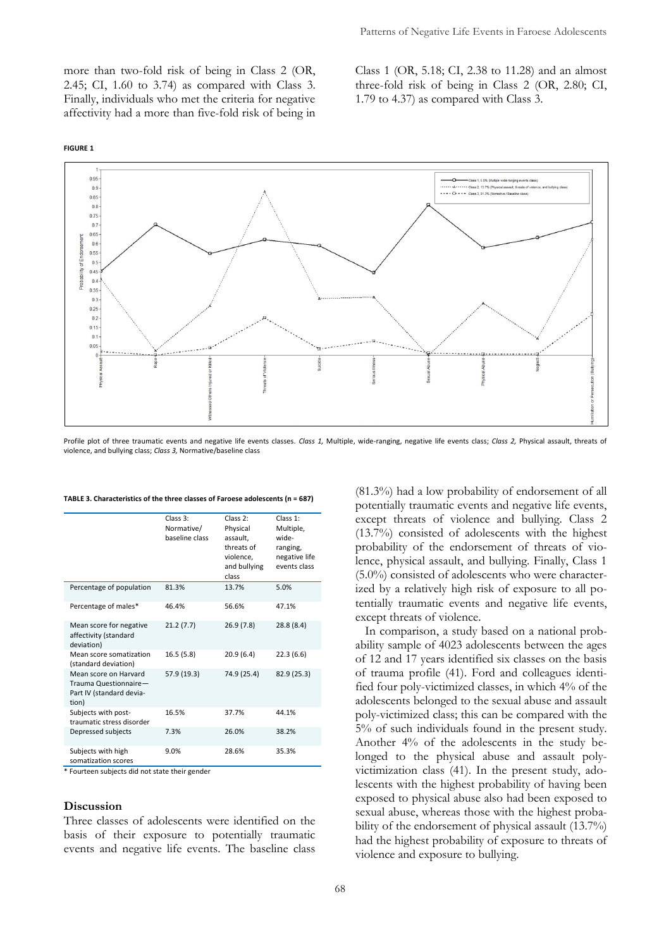more than two-fold risk of being in Class 2 (OR, 2.45; CI, 1.60 to 3.74) as compared with Class 3. Finally, individuals who met the criteria for negative affectivity had a more than five-fold risk of being in

**FIGURE 1**





Profile plot of three traumatic events and negative life events classes. *Class 1,* Multiple, wide-ranging, negative life events class; *Class 2,* Physical assault, threats of violence, and bullying class; *Class 3,* Normative/baseline class

|                                                                                     | Class 3:<br>Normative/<br>baseline class | Class <sub>2</sub> :<br>Physical<br>assault,<br>threats of<br>violence,<br>and bullying<br>class | Class 1:<br>Multiple,<br>wide-<br>ranging,<br>negative life<br>events class |
|-------------------------------------------------------------------------------------|------------------------------------------|--------------------------------------------------------------------------------------------------|-----------------------------------------------------------------------------|
| Percentage of population                                                            | 81.3%                                    | 13.7%                                                                                            | 5.0%                                                                        |
| Percentage of males*                                                                | 46.4%                                    | 56.6%                                                                                            | 47.1%                                                                       |
| Mean score for negative<br>affectivity (standard<br>deviation)                      | 21.2(7.7)                                | 26.9(7.8)                                                                                        | 28.8 (8.4)                                                                  |
| Mean score somatization<br>(standard deviation)                                     | 16.5(5.8)                                | 20.9(6.4)                                                                                        | 22.3(6.6)                                                                   |
| Mean score on Harvard<br>Trauma Questionnaire-<br>Part IV (standard devia-<br>tion) | 57.9 (19.3)                              | 74.9 (25.4)                                                                                      | 82.9 (25.3)                                                                 |
| Subjects with post-<br>traumatic stress disorder                                    | 16.5%                                    | 37.7%                                                                                            | 44.1%                                                                       |
| Depressed subjects                                                                  | 7.3%                                     | 26.0%                                                                                            | 38.2%                                                                       |
| Subjects with high<br>somatization scores                                           | 9.0%                                     | 28.6%                                                                                            | 35.3%                                                                       |

#### **TABLE 3. Characteristics of the three classes of Faroese adolescents (n = 687)**

\* Fourteen subjects did not state their gender

### **Discussion**

Three classes of adolescents were identified on the basis of their exposure to potentially traumatic events and negative life events. The baseline class

(81.3%) had a low probability of endorsement of all potentially traumatic events and negative life events, except threats of violence and bullying. Class 2 (13.7%) consisted of adolescents with the highest probability of the endorsement of threats of violence, physical assault, and bullying. Finally, Class 1 (5.0%) consisted of adolescents who were characterized by a relatively high risk of exposure to all potentially traumatic events and negative life events, except threats of violence.

In comparison, a study based on a national probability sample of 4023 adolescents between the ages of 12 and 17 years identified six classes on the basis of trauma profile (41). Ford and colleagues identified four poly-victimized classes, in which 4% of the adolescents belonged to the sexual abuse and assault poly-victimized class; this can be compared with the 5% of such individuals found in the present study. Another 4% of the adolescents in the study belonged to the physical abuse and assault polyvictimization class (41). In the present study, adolescents with the highest probability of having been exposed to physical abuse also had been exposed to sexual abuse, whereas those with the highest probability of the endorsement of physical assault (13.7%) had the highest probability of exposure to threats of violence and exposure to bullying.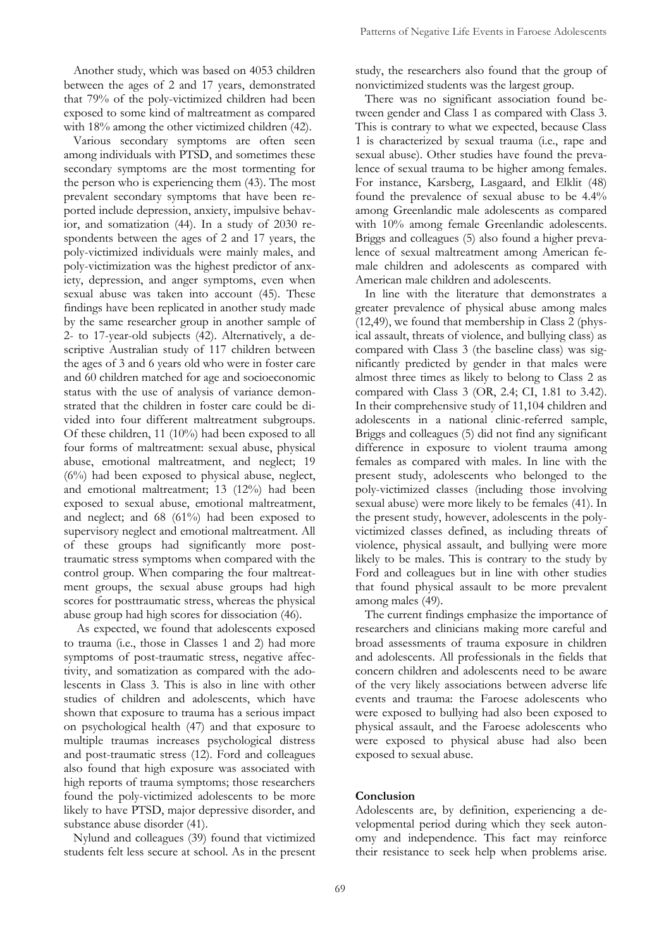Another study, which was based on 4053 children between the ages of 2 and 17 years, demonstrated that 79% of the poly-victimized children had been exposed to some kind of maltreatment as compared with 18% among the other victimized children (42).

Various secondary symptoms are often seen among individuals with PTSD, and sometimes these secondary symptoms are the most tormenting for the person who is experiencing them (43). The most prevalent secondary symptoms that have been reported include depression, anxiety, impulsive behavior, and somatization (44). In a study of 2030 respondents between the ages of 2 and 17 years, the poly-victimized individuals were mainly males, and poly-victimization was the highest predictor of anxiety, depression, and anger symptoms, even when sexual abuse was taken into account (45). These findings have been replicated in another study made by the same researcher group in another sample of 2- to 17-year-old subjects (42). Alternatively, a descriptive Australian study of 117 children between the ages of 3 and 6 years old who were in foster care and 60 children matched for age and socioeconomic status with the use of analysis of variance demonstrated that the children in foster care could be divided into four different maltreatment subgroups. Of these children, 11 (10%) had been exposed to all four forms of maltreatment: sexual abuse, physical abuse, emotional maltreatment, and neglect; 19 (6%) had been exposed to physical abuse, neglect, and emotional maltreatment; 13 (12%) had been exposed to sexual abuse, emotional maltreatment, and neglect; and 68 (61%) had been exposed to supervisory neglect and emotional maltreatment. All of these groups had significantly more posttraumatic stress symptoms when compared with the control group. When comparing the four maltreatment groups, the sexual abuse groups had high scores for posttraumatic stress, whereas the physical abuse group had high scores for dissociation (46).

As expected, we found that adolescents exposed to trauma (i.e., those in Classes 1 and 2) had more symptoms of post-traumatic stress, negative affectivity, and somatization as compared with the adolescents in Class 3. This is also in line with other studies of children and adolescents, which have shown that exposure to trauma has a serious impact on psychological health (47) and that exposure to multiple traumas increases psychological distress and post-traumatic stress (12). Ford and colleagues also found that high exposure was associated with high reports of trauma symptoms; those researchers found the poly-victimized adolescents to be more likely to have PTSD, major depressive disorder, and substance abuse disorder (41).

Nylund and colleagues (39) found that victimized students felt less secure at school. As in the present study, the researchers also found that the group of nonvictimized students was the largest group.

There was no significant association found between gender and Class 1 as compared with Class 3. This is contrary to what we expected, because Class 1 is characterized by sexual trauma (i.e., rape and sexual abuse). Other studies have found the prevalence of sexual trauma to be higher among females. For instance, Karsberg, Lasgaard, and Elklit (48) found the prevalence of sexual abuse to be 4.4% among Greenlandic male adolescents as compared with 10% among female Greenlandic adolescents. Briggs and colleagues (5) also found a higher prevalence of sexual maltreatment among American female children and adolescents as compared with American male children and adolescents.

In line with the literature that demonstrates a greater prevalence of physical abuse among males (12,49), we found that membership in Class 2 (physical assault, threats of violence, and bullying class) as compared with Class 3 (the baseline class) was significantly predicted by gender in that males were almost three times as likely to belong to Class 2 as compared with Class 3 (OR, 2.4; CI, 1.81 to 3.42). In their comprehensive study of 11,104 children and adolescents in a national clinic-referred sample, Briggs and colleagues (5) did not find any significant difference in exposure to violent trauma among females as compared with males. In line with the present study, adolescents who belonged to the poly-victimized classes (including those involving sexual abuse) were more likely to be females (41). In the present study, however, adolescents in the polyvictimized classes defined, as including threats of violence, physical assault, and bullying were more likely to be males. This is contrary to the study by Ford and colleagues but in line with other studies that found physical assault to be more prevalent among males (49).

The current findings emphasize the importance of researchers and clinicians making more careful and broad assessments of trauma exposure in children and adolescents. All professionals in the fields that concern children and adolescents need to be aware of the very likely associations between adverse life events and trauma: the Faroese adolescents who were exposed to bullying had also been exposed to physical assault, and the Faroese adolescents who were exposed to physical abuse had also been exposed to sexual abuse.

## **Conclusion**

Adolescents are, by definition, experiencing a developmental period during which they seek autonomy and independence. This fact may reinforce their resistance to seek help when problems arise.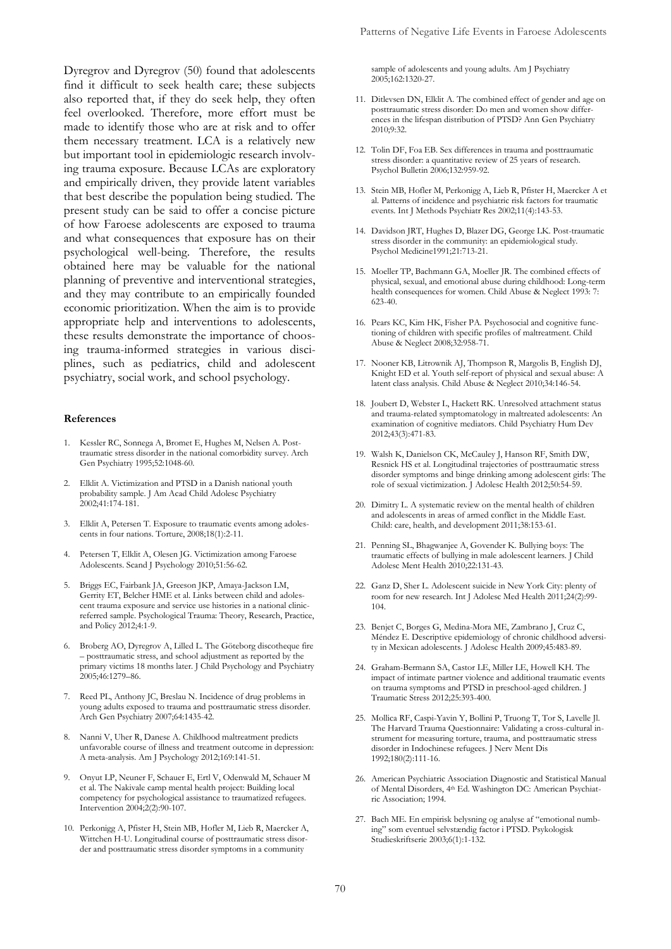Dyregrov and Dyregrov (50) found that adolescents find it difficult to seek health care; these subjects also reported that, if they do seek help, they often feel overlooked. Therefore, more effort must be made to identify those who are at risk and to offer them necessary treatment. LCA is a relatively new but important tool in epidemiologic research involving trauma exposure. Because LCAs are exploratory and empirically driven, they provide latent variables that best describe the population being studied. The present study can be said to offer a concise picture of how Faroese adolescents are exposed to trauma and what consequences that exposure has on their psychological well-being. Therefore, the results obtained here may be valuable for the national planning of preventive and interventional strategies, and they may contribute to an empirically founded economic prioritization. When the aim is to provide appropriate help and interventions to adolescents, these results demonstrate the importance of choosing trauma-informed strategies in various disciplines, such as pediatrics, child and adolescent psychiatry, social work, and school psychology.

#### **References**

- 1. Kessler RC, Sonnega A, Bromet E, Hughes M, Nelsen A. Posttraumatic stress disorder in the national comorbidity survey. Arch Gen Psychiatry 1995;52:1048-60.
- 2. Elklit A. Victimization and PTSD in a Danish national youth probability sample. J Am Acad Child Adolesc Psychiatry 2002;41:174-181.
- 3. Elklit A, Petersen T. Exposure to traumatic events among adolescents in four nations. Torture, 2008;18(1):2-11.
- 4. Petersen T, Elklit A, Olesen JG. Victimization among Faroese Adolescents. Scand J Psychology 2010;51:56-62.
- 5. Briggs EC, Fairbank JA, Greeson JKP, Amaya-Jackson LM, Gerrity ET, Belcher HME et al. Links between child and adolescent trauma exposure and service use histories in a national clinicreferred sample. Psychological Trauma: Theory, Research, Practice, and Policy 2012;4:1-9.
- 6. Broberg AO, Dyregrov A, Lilled L. The Göteborg discotheque fire – posttraumatic stress, and school adjustment as reported by the primary victims 18 months later. J Child Psychology and Psychiatry 2005;46:1279–86.
- 7. Reed PL, Anthony JC, Breslau N. Incidence of drug problems in young adults exposed to trauma and posttraumatic stress disorder. Arch Gen Psychiatry 2007;64:1435-42.
- 8. Nanni V, Uher R, Danese A. Childhood maltreatment predicts unfavorable course of illness and treatment outcome in depression: A meta-analysis. Am J Psychology 2012;169:141-51.
- 9. Onyut LP, Neuner F, Schauer E, Ertl V, Odenwald M, Schauer M et al. The Nakivale camp mental health project: Building local competency for psychological assistance to traumatized refugees. Intervention 2004;2(2):90-107.
- 10. Perkonigg A, Pfister H, Stein MB, Hofler M, Lieb R, Maercker A, Wittchen H-U[. Longitudinal course of posttraumatic stress disor](http://cirrie.buffalo.edu/database/56581/)[der and posttraumatic stress disorder symptoms in a community](http://cirrie.buffalo.edu/database/56581/)

[sample of adolescents and young adults.](http://cirrie.buffalo.edu/database/56581/) Am J Psychiatry 2005;162:1320-27.

- 11. Ditlevsen DN, Elklit A. The combined effect of gender and age on posttraumatic stress disorder: Do men and women show differences in the lifespan distribution of PTSD? Ann Gen Psychiatry 2010;9:32.
- 12. Tolin DF, Foa EB. Sex differences in trauma and posttraumatic stress disorder: a quantitative review of 25 years of research. Psychol Bulletin 2006;132:959-92.
- 13. Stein MB, Hofler M, Perkonigg A, Lieb R, Pfister H, Maercker A et al. Patterns of incidence and psychiatric risk factors for traumatic events. Int J Methods Psychiatr Res 2002;11(4):143-53.
- 14. Davidson JRT, Hughes D, Blazer DG, George LK. Post-traumatic stress disorder in the community: an epidemiological study. Psychol Medicine1991;21:713-21.
- 15. Moeller TP, Bachmann GA, Moeller JR. The combined effects of physical, sexual, and emotional abuse during childhood: Long-term health consequences for women. Child Abuse & Neglect 1993: 7: 623-40.
- 16. Pears KC, Kim HK, Fisher PA. Psychosocial and cognitive functioning of children with specific profiles of maltreatment. Child Abuse & Neglect 2008;32:958-71.
- 17. Nooner KB, Litrownik AJ, Thompson R, Margolis B, English DJ, Knight ED et al. Youth self-report of physical and sexual abuse: A latent class analysis. Child Abuse & Neglect 2010;34:146-54.
- 18. Joubert D, Webster L, Hackett RK[. Unresolved attachment status](http://ovidsp.uk.ovid.com.proxy1-bib.sdu.dk:2048/sp-3.7.0a/ovidweb.cgi?&S=DCFIPDOMDBHFHGDGFNPKGHPFMLCMAA00&Complete+Reference=S.sh.37%7c1%7c1)  [and trauma-related symptomatology in maltreated adolescents: An](http://ovidsp.uk.ovid.com.proxy1-bib.sdu.dk:2048/sp-3.7.0a/ovidweb.cgi?&S=DCFIPDOMDBHFHGDGFNPKGHPFMLCMAA00&Complete+Reference=S.sh.37%7c1%7c1)  [examination of cognitive mediators.](http://ovidsp.uk.ovid.com.proxy1-bib.sdu.dk:2048/sp-3.7.0a/ovidweb.cgi?&S=DCFIPDOMDBHFHGDGFNPKGHPFMLCMAA00&Complete+Reference=S.sh.37%7c1%7c1) Child Psychiatry Hum Dev 2012;43(3):471-83.
- 19. Walsh K, Danielson CK, McCauley J, Hanson RF, Smith DW, Resnick HS et al. Longitudinal trajectories of posttraumatic stress disorder symptoms and binge drinking among adolescent girls: The role of sexual victimization. J Adolesc Health 2012;50:54-59.
- 20. Dimitry L. A systematic review on the mental health of children and adolescents in areas of armed conflict in the Middle East. Child: care, health, and development 2011;38:153-61.
- 21. Penning SL, Bhagwanjee A, Govender K. Bullying boys: The traumatic effects of bullying in male adolescent learners. J Child Adolesc Ment Health 2010;22:131-43.
- 22. Ganz D, Sher L. Adolescent suicide in New York City: plenty of room for new research. Int J Adolesc Med Health 2011;24(2):99- 104.
- 23. Benjet C, Borges G, Medina-Mora ME, Zambrano J, Cruz C, Méndez E. Descriptive epidemiology of chronic childhood adversity in Mexican adolescents. J Adolesc Health 2009;45:483-89.
- 24. Graham-Bermann SA, Castor LE, Miller LE, Howell KH. The impact of intimate partner violence and additional traumatic events on trauma symptoms and PTSD in preschool-aged children. J Traumatic Stress 2012;25:393-400.
- 25. Mollica RF, Caspi-Yavin Y, Bollini P, Truong T, Tor S, Lavelle Jl. The Harvard Trauma Questionnaire: Validating a cross-cultural instrument for measuring torture, trauma, and posttraumatic stress disorder in Indochinese refugees. J Nerv Ment Dis 1992;180(2):111-16.
- 26. American Psychiatric Association Diagnostic and Statistical Manual of Mental Disorders, 4th Ed. Washington DC: American Psychiatric Association; 1994.
- 27. Bach ME. En empirisk belysning og analyse af "emotional numbing" som eventuel selvstændig factor i PTSD. Psykologisk Studieskriftserie 2003;6(1):1-132.